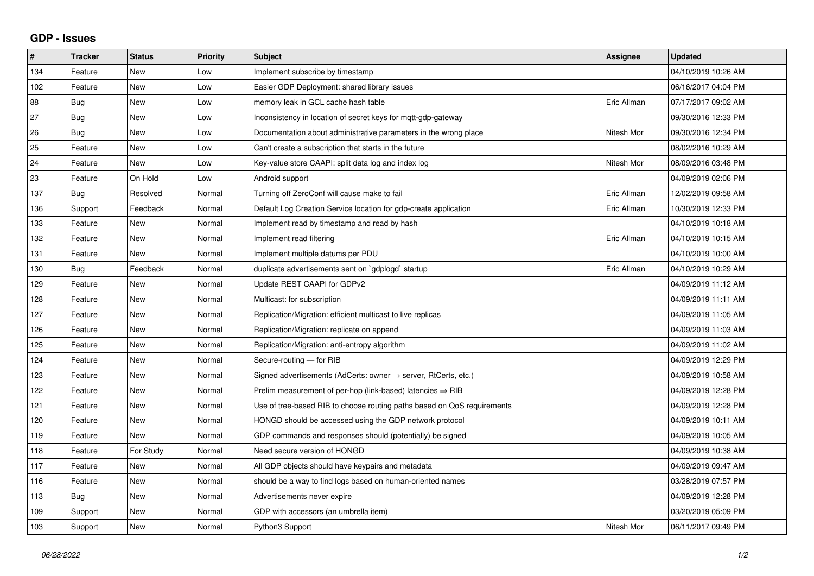## **GDP - Issues**

| $\pmb{\#}$ | <b>Tracker</b> | <b>Status</b> | <b>Priority</b> | <b>Subject</b>                                                          | Assignee    | <b>Updated</b>      |
|------------|----------------|---------------|-----------------|-------------------------------------------------------------------------|-------------|---------------------|
| 134        | Feature        | <b>New</b>    | Low             | Implement subscribe by timestamp                                        |             | 04/10/2019 10:26 AM |
| 102        | Feature        | <b>New</b>    | Low             | Easier GDP Deployment: shared library issues                            |             | 06/16/2017 04:04 PM |
| 88         | Bug            | New           | Low             | memory leak in GCL cache hash table                                     | Eric Allman | 07/17/2017 09:02 AM |
| 27         | <b>Bug</b>     | <b>New</b>    | Low             | Inconsistency in location of secret keys for mgtt-gdp-gateway           |             | 09/30/2016 12:33 PM |
| 26         | Bug            | <b>New</b>    | Low             | Documentation about administrative parameters in the wrong place        | Nitesh Mor  | 09/30/2016 12:34 PM |
| 25         | Feature        | <b>New</b>    | Low             | Can't create a subscription that starts in the future                   |             | 08/02/2016 10:29 AM |
| 24         | Feature        | New           | Low             | Key-value store CAAPI: split data log and index log                     | Nitesh Mor  | 08/09/2016 03:48 PM |
| 23         | Feature        | On Hold       | Low             | Android support                                                         |             | 04/09/2019 02:06 PM |
| 137        | Bug            | Resolved      | Normal          | Turning off ZeroConf will cause make to fail                            | Eric Allman | 12/02/2019 09:58 AM |
| 136        | Support        | Feedback      | Normal          | Default Log Creation Service location for gdp-create application        | Eric Allman | 10/30/2019 12:33 PM |
| 133        | Feature        | <b>New</b>    | Normal          | Implement read by timestamp and read by hash                            |             | 04/10/2019 10:18 AM |
| 132        | Feature        | <b>New</b>    | Normal          | Implement read filtering                                                | Eric Allman | 04/10/2019 10:15 AM |
| 131        | Feature        | <b>New</b>    | Normal          | Implement multiple datums per PDU                                       |             | 04/10/2019 10:00 AM |
| 130        | Bug            | Feedback      | Normal          | duplicate advertisements sent on `gdplogd` startup                      | Eric Allman | 04/10/2019 10:29 AM |
| 129        | Feature        | <b>New</b>    | Normal          | Update REST CAAPI for GDPv2                                             |             | 04/09/2019 11:12 AM |
| 128        | Feature        | <b>New</b>    | Normal          | Multicast: for subscription                                             |             | 04/09/2019 11:11 AM |
| 127        | Feature        | <b>New</b>    | Normal          | Replication/Migration: efficient multicast to live replicas             |             | 04/09/2019 11:05 AM |
| 126        | Feature        | New           | Normal          | Replication/Migration: replicate on append                              |             | 04/09/2019 11:03 AM |
| 125        | Feature        | <b>New</b>    | Normal          | Replication/Migration: anti-entropy algorithm                           |             | 04/09/2019 11:02 AM |
| 124        | Feature        | <b>New</b>    | Normal          | Secure-routing - for RIB                                                |             | 04/09/2019 12:29 PM |
| 123        | Feature        | New           | Normal          | Signed advertisements (AdCerts: owner → server, RtCerts, etc.)          |             | 04/09/2019 10:58 AM |
| 122        | Feature        | <b>New</b>    | Normal          | Prelim measurement of per-hop (link-based) latencies $\Rightarrow$ RIB  |             | 04/09/2019 12:28 PM |
| 121        | Feature        | <b>New</b>    | Normal          | Use of tree-based RIB to choose routing paths based on QoS requirements |             | 04/09/2019 12:28 PM |
| 120        | Feature        | <b>New</b>    | Normal          | HONGD should be accessed using the GDP network protocol                 |             | 04/09/2019 10:11 AM |
| 119        | Feature        | New           | Normal          | GDP commands and responses should (potentially) be signed               |             | 04/09/2019 10:05 AM |
| 118        | Feature        | For Study     | Normal          | Need secure version of HONGD                                            |             | 04/09/2019 10:38 AM |
| 117        | Feature        | <b>New</b>    | Normal          | All GDP objects should have keypairs and metadata                       |             | 04/09/2019 09:47 AM |
| 116        | Feature        | <b>New</b>    | Normal          | should be a way to find logs based on human-oriented names              |             | 03/28/2019 07:57 PM |
| 113        | <b>Bug</b>     | <b>New</b>    | Normal          | Advertisements never expire                                             |             | 04/09/2019 12:28 PM |
| 109        | Support        | <b>New</b>    | Normal          | GDP with accessors (an umbrella item)                                   |             | 03/20/2019 05:09 PM |
| 103        | Support        | New           | Normal          | Python3 Support                                                         | Nitesh Mor  | 06/11/2017 09:49 PM |